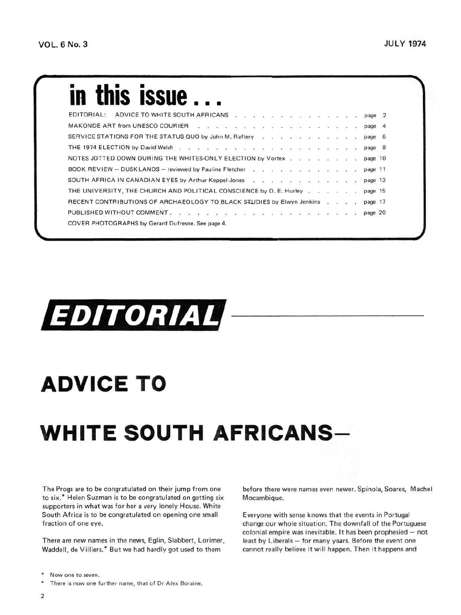## **in this issue...**

| EDITORIAL:                                                                                      |  | ADVICE TO WHITE SOUTH AFRICANS page 2 |  |  |  |  |  |  |  |  |         |  |
|-------------------------------------------------------------------------------------------------|--|---------------------------------------|--|--|--|--|--|--|--|--|---------|--|
| MAKONDE ART from UNESCO COURIER A RESERVE LIBRARY CONTROL CONTROL AND A RESERVE LIBRARY COURIER |  |                                       |  |  |  |  |  |  |  |  | page 4  |  |
| SERVICE STATIONS FOR THE STATUS QUO by John M. Raftery                                          |  |                                       |  |  |  |  |  |  |  |  | page 6  |  |
|                                                                                                 |  |                                       |  |  |  |  |  |  |  |  | page 9  |  |
| NOTES JOTTED DOWN DURING THE WHITES-ONLY ELECTION by Vortex                                     |  |                                       |  |  |  |  |  |  |  |  | page 10 |  |
|                                                                                                 |  |                                       |  |  |  |  |  |  |  |  | page 11 |  |
| SOUTH AFRICA IN CANADIAN EYES by Arthur Keppel-Jones                                            |  |                                       |  |  |  |  |  |  |  |  | page 13 |  |
| THE UNIVERSITY, THE CHURCH AND POLITICAL CONSCIENCE by D. E. Hurley                             |  |                                       |  |  |  |  |  |  |  |  | page 15 |  |
| RECENT CONTRIBUTIONS OF ARCHAEOLOGY TO BLACK STUDIES by Elwyn Jenkins                           |  |                                       |  |  |  |  |  |  |  |  | page 17 |  |
|                                                                                                 |  |                                       |  |  |  |  |  |  |  |  | page 20 |  |
| COVER PHOTOGRAPHS by Gerard Dufresne, See page 4.                                               |  |                                       |  |  |  |  |  |  |  |  |         |  |
|                                                                                                 |  |                                       |  |  |  |  |  |  |  |  |         |  |

## **EDITORIAL**

## **ADVICE TO**

## **WHITE SOUTH AFRICANS-**

The Progs are to be congratulated on their jump from one to six.\* Helen Suzman is to be congratulated on getting six supporters in what was for her a very lonely House. White South Africa is to be congratulated on opening one small fraction of one eye.

There are new names in the news, Eglin, Slabbert, Lorimer, Waddell, de Villiers.\* But we had hardly got used to them

before there were names even newer. Spinola, Soares, Machel Mocambique.

Everyone with sense knows that the events in Portugal change our whole situation. The downfall of the Portuguese colonial empire was inevitable. It has been prophesied — not least by Liberals — for many years. Before the event one cannot really believe it will happen. Then it happens and

Now one to seven.

There is now one further name, that of Dr Alex Boraine.